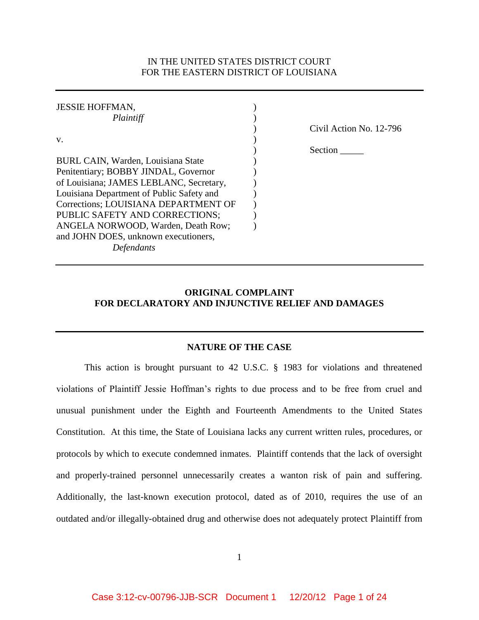# IN THE UNITED STATES DISTRICT COURT FOR THE EASTERN DISTRICT OF LOUISIANA

| <b>JESSIE HOFFMAN,</b>                    |                         |
|-------------------------------------------|-------------------------|
| Plaintiff                                 |                         |
|                                           | Civil Action No. 12-796 |
| V.                                        |                         |
|                                           | Section                 |
| BURL CAIN, Warden, Louisiana State        |                         |
| Penitentiary; BOBBY JINDAL, Governor      |                         |
| of Louisiana; JAMES LEBLANC, Secretary,   |                         |
| Louisiana Department of Public Safety and |                         |
| Corrections; LOUISIANA DEPARTMENT OF      |                         |
| PUBLIC SAFETY AND CORRECTIONS;            |                         |
| ANGELA NORWOOD, Warden, Death Row;        |                         |
| and JOHN DOES, unknown executioners,      |                         |
| Defendants                                |                         |

# **ORIGINAL COMPLAINT FOR DECLARATORY AND INJUNCTIVE RELIEF AND DAMAGES**

#### **NATURE OF THE CASE**

This action is brought pursuant to 42 U.S.C. § 1983 for violations and threatened violations of Plaintiff Jessie Hoffman's rights to due process and to be free from cruel and unusual punishment under the Eighth and Fourteenth Amendments to the United States Constitution. At this time, the State of Louisiana lacks any current written rules, procedures, or protocols by which to execute condemned inmates. Plaintiff contends that the lack of oversight and properly-trained personnel unnecessarily creates a wanton risk of pain and suffering. Additionally, the last-known execution protocol, dated as of 2010, requires the use of an outdated and/or illegally-obtained drug and otherwise does not adequately protect Plaintiff from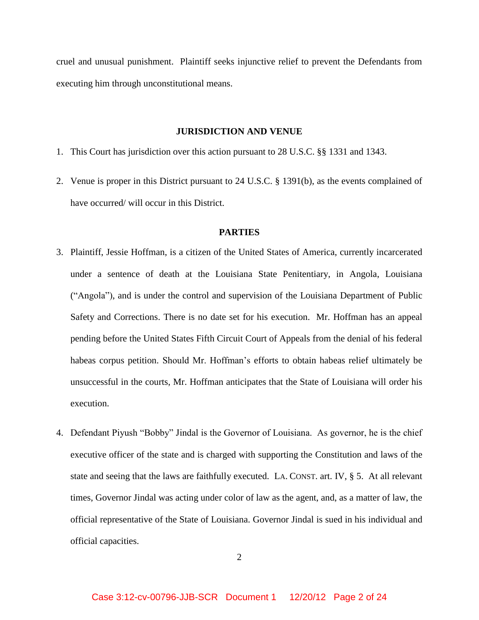cruel and unusual punishment. Plaintiff seeks injunctive relief to prevent the Defendants from executing him through unconstitutional means.

#### **JURISDICTION AND VENUE**

- 1. This Court has jurisdiction over this action pursuant to 28 U.S.C. §§ 1331 and 1343.
- 2. Venue is proper in this District pursuant to 24 U.S.C. § 1391(b), as the events complained of have occurred/ will occur in this District.

### **PARTIES**

- 3. Plaintiff, Jessie Hoffman, is a citizen of the United States of America, currently incarcerated under a sentence of death at the Louisiana State Penitentiary, in Angola, Louisiana ("Angola"), and is under the control and supervision of the Louisiana Department of Public Safety and Corrections. There is no date set for his execution. Mr. Hoffman has an appeal pending before the United States Fifth Circuit Court of Appeals from the denial of his federal habeas corpus petition. Should Mr. Hoffman's efforts to obtain habeas relief ultimately be unsuccessful in the courts, Mr. Hoffman anticipates that the State of Louisiana will order his execution.
- 4. Defendant Piyush "Bobby" Jindal is the Governor of Louisiana. As governor, he is the chief executive officer of the state and is charged with supporting the Constitution and laws of the state and seeing that the laws are faithfully executed. LA. CONST. art. IV, § 5. At all relevant times, Governor Jindal was acting under color of law as the agent, and, as a matter of law, the official representative of the State of Louisiana. Governor Jindal is sued in his individual and official capacities.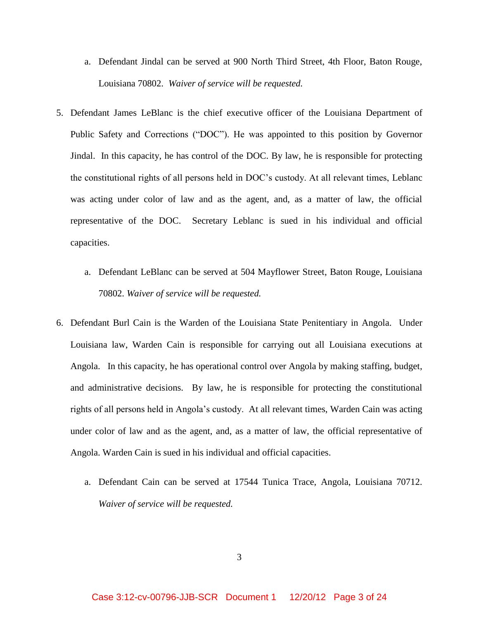- a. Defendant Jindal can be served at 900 North Third Street, 4th Floor, Baton Rouge, Louisiana 70802. *Waiver of service will be requested.*
- 5. Defendant James LeBlanc is the chief executive officer of the Louisiana Department of Public Safety and Corrections ("DOC"). He was appointed to this position by Governor Jindal. In this capacity, he has control of the DOC. By law, he is responsible for protecting the constitutional rights of all persons held in DOC's custody. At all relevant times, Leblanc was acting under color of law and as the agent, and, as a matter of law, the official representative of the DOC. Secretary Leblanc is sued in his individual and official capacities.
	- a. Defendant LeBlanc can be served at 504 Mayflower Street, Baton Rouge, Louisiana 70802. *Waiver of service will be requested.*
- 6. Defendant Burl Cain is the Warden of the Louisiana State Penitentiary in Angola. Under Louisiana law, Warden Cain is responsible for carrying out all Louisiana executions at Angola. In this capacity, he has operational control over Angola by making staffing, budget, and administrative decisions. By law, he is responsible for protecting the constitutional rights of all persons held in Angola's custody. At all relevant times, Warden Cain was acting under color of law and as the agent, and, as a matter of law, the official representative of Angola. Warden Cain is sued in his individual and official capacities.
	- a. Defendant Cain can be served at 17544 Tunica Trace, Angola, Louisiana 70712. *Waiver of service will be requested.*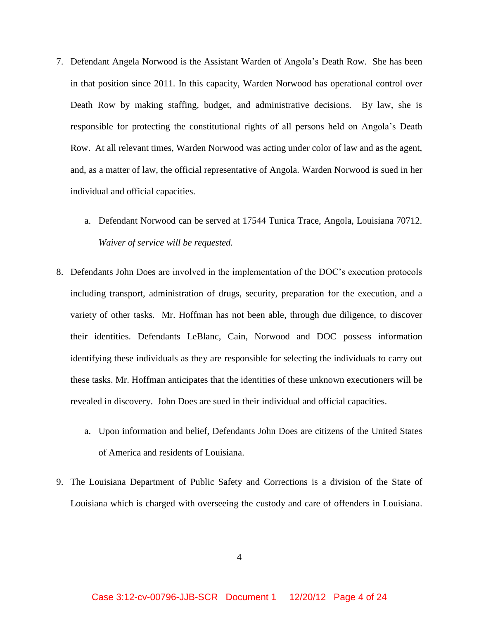- 7. Defendant Angela Norwood is the Assistant Warden of Angola's Death Row. She has been in that position since 2011. In this capacity, Warden Norwood has operational control over Death Row by making staffing, budget, and administrative decisions. By law, she is responsible for protecting the constitutional rights of all persons held on Angola's Death Row. At all relevant times, Warden Norwood was acting under color of law and as the agent, and, as a matter of law, the official representative of Angola. Warden Norwood is sued in her individual and official capacities.
	- a. Defendant Norwood can be served at 17544 Tunica Trace, Angola, Louisiana 70712. *Waiver of service will be requested.*
- 8. Defendants John Does are involved in the implementation of the DOC's execution protocols including transport, administration of drugs, security, preparation for the execution, and a variety of other tasks. Mr. Hoffman has not been able, through due diligence, to discover their identities. Defendants LeBlanc, Cain, Norwood and DOC possess information identifying these individuals as they are responsible for selecting the individuals to carry out these tasks. Mr. Hoffman anticipates that the identities of these unknown executioners will be revealed in discovery. John Does are sued in their individual and official capacities.
	- a. Upon information and belief, Defendants John Does are citizens of the United States of America and residents of Louisiana.
- 9. The Louisiana Department of Public Safety and Corrections is a division of the State of Louisiana which is charged with overseeing the custody and care of offenders in Louisiana.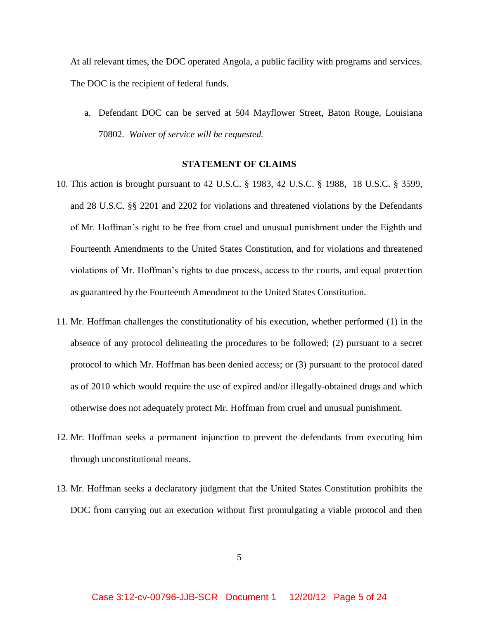At all relevant times, the DOC operated Angola, a public facility with programs and services. The DOC is the recipient of federal funds.

a. Defendant DOC can be served at 504 Mayflower Street, Baton Rouge, Louisiana 70802. *Waiver of service will be requested.*

### **STATEMENT OF CLAIMS**

- 10. This action is brought pursuant to 42 U.S.C. § 1983, 42 U.S.C. § 1988, 18 U.S.C. § 3599, and 28 U.S.C. §§ 2201 and 2202 for violations and threatened violations by the Defendants of Mr. Hoffman's right to be free from cruel and unusual punishment under the Eighth and Fourteenth Amendments to the United States Constitution, and for violations and threatened violations of Mr. Hoffman's rights to due process, access to the courts, and equal protection as guaranteed by the Fourteenth Amendment to the United States Constitution.
- 11. Mr. Hoffman challenges the constitutionality of his execution, whether performed (1) in the absence of any protocol delineating the procedures to be followed; (2) pursuant to a secret protocol to which Mr. Hoffman has been denied access; or (3) pursuant to the protocol dated as of 2010 which would require the use of expired and/or illegally-obtained drugs and which otherwise does not adequately protect Mr. Hoffman from cruel and unusual punishment.
- 12. Mr. Hoffman seeks a permanent injunction to prevent the defendants from executing him through unconstitutional means.
- 13. Mr. Hoffman seeks a declaratory judgment that the United States Constitution prohibits the DOC from carrying out an execution without first promulgating a viable protocol and then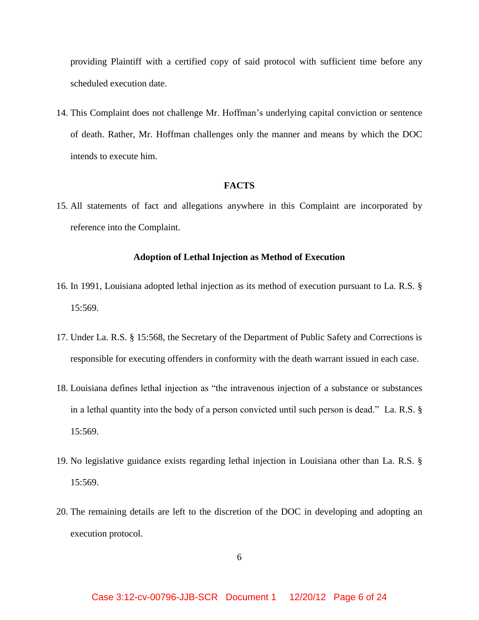providing Plaintiff with a certified copy of said protocol with sufficient time before any scheduled execution date.

14. This Complaint does not challenge Mr. Hoffman's underlying capital conviction or sentence of death. Rather, Mr. Hoffman challenges only the manner and means by which the DOC intends to execute him.

# **FACTS**

15. All statements of fact and allegations anywhere in this Complaint are incorporated by reference into the Complaint.

### **Adoption of Lethal Injection as Method of Execution**

- 16. In 1991, Louisiana adopted lethal injection as its method of execution pursuant to La. R.S. § 15:569.
- 17. Under La. R.S. § 15:568, the Secretary of the Department of Public Safety and Corrections is responsible for executing offenders in conformity with the death warrant issued in each case.
- 18. Louisiana defines lethal injection as "the intravenous injection of a substance or substances in a lethal quantity into the body of a person convicted until such person is dead." La. R.S. § 15:569.
- 19. No legislative guidance exists regarding lethal injection in Louisiana other than La. R.S. § 15:569.
- 20. The remaining details are left to the discretion of the DOC in developing and adopting an execution protocol.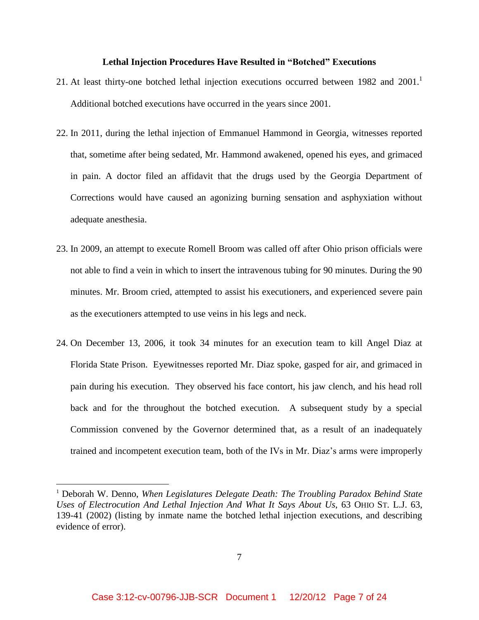#### **Lethal Injection Procedures Have Resulted in "Botched" Executions**

- 21. At least thirty-one botched lethal injection executions occurred between 1982 and  $2001$ .<sup>1</sup> Additional botched executions have occurred in the years since 2001.
- 22. In 2011, during the lethal injection of Emmanuel Hammond in Georgia, witnesses reported that, sometime after being sedated, Mr. Hammond awakened, opened his eyes, and grimaced in pain. A doctor filed an affidavit that the drugs used by the Georgia Department of Corrections would have caused an agonizing burning sensation and asphyxiation without adequate anesthesia.
- 23. In 2009, an attempt to execute Romell Broom was called off after Ohio prison officials were not able to find a vein in which to insert the intravenous tubing for 90 minutes. During the 90 minutes. Mr. Broom cried, attempted to assist his executioners, and experienced severe pain as the executioners attempted to use veins in his legs and neck.
- 24. On December 13, 2006, it took 34 minutes for an execution team to kill Angel Diaz at Florida State Prison. Eyewitnesses reported Mr. Diaz spoke, gasped for air, and grimaced in pain during his execution. They observed his face contort, his jaw clench, and his head roll back and for the throughout the botched execution. A subsequent study by a special Commission convened by the Governor determined that, as a result of an inadequately trained and incompetent execution team, both of the IVs in Mr. Diaz's arms were improperly

 $\overline{\phantom{a}}$ 

<sup>1</sup> Deborah W. Denno, *When Legislatures Delegate Death: The Troubling Paradox Behind State Uses of Electrocution And Lethal Injection And What It Says About Us*, 63 OHIO ST. L.J. 63, 139-41 (2002) (listing by inmate name the botched lethal injection executions, and describing evidence of error).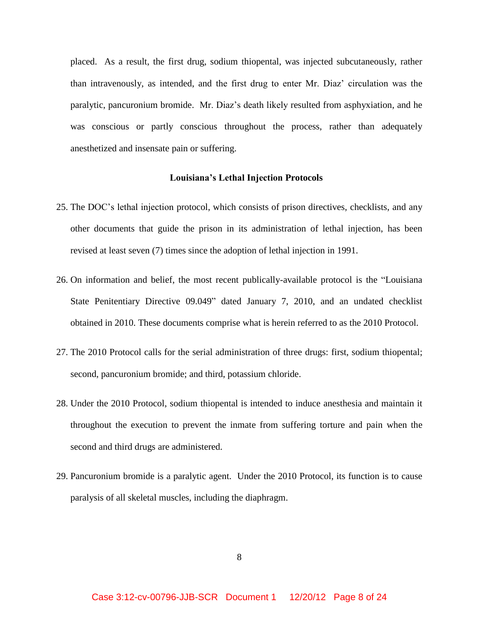placed. As a result, the first drug, sodium thiopental, was injected subcutaneously, rather than intravenously, as intended, and the first drug to enter Mr. Diaz' circulation was the paralytic, pancuronium bromide. Mr. Diaz's death likely resulted from asphyxiation, and he was conscious or partly conscious throughout the process, rather than adequately anesthetized and insensate pain or suffering.

#### **Louisiana's Lethal Injection Protocols**

- 25. The DOC's lethal injection protocol, which consists of prison directives, checklists, and any other documents that guide the prison in its administration of lethal injection, has been revised at least seven (7) times since the adoption of lethal injection in 1991.
- 26. On information and belief, the most recent publically-available protocol is the "Louisiana State Penitentiary Directive 09.049" dated January 7, 2010, and an undated checklist obtained in 2010. These documents comprise what is herein referred to as the 2010 Protocol.
- 27. The 2010 Protocol calls for the serial administration of three drugs: first, sodium thiopental; second, pancuronium bromide; and third, potassium chloride.
- 28. Under the 2010 Protocol, sodium thiopental is intended to induce anesthesia and maintain it throughout the execution to prevent the inmate from suffering torture and pain when the second and third drugs are administered.
- 29. Pancuronium bromide is a paralytic agent. Under the 2010 Protocol, its function is to cause paralysis of all skeletal muscles, including the diaphragm.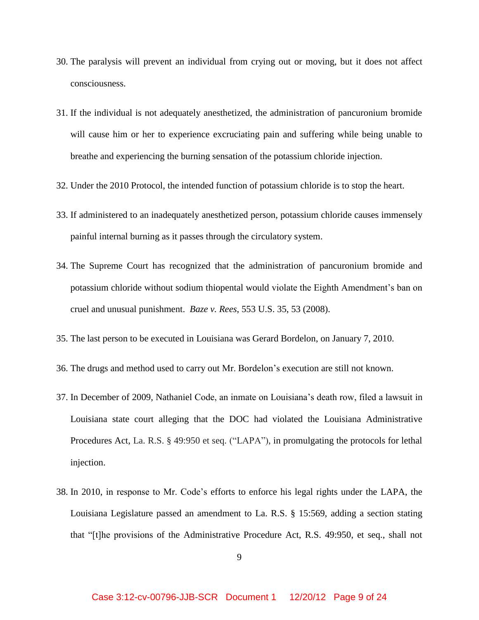- 30. The paralysis will prevent an individual from crying out or moving, but it does not affect consciousness.
- 31. If the individual is not adequately anesthetized, the administration of pancuronium bromide will cause him or her to experience excruciating pain and suffering while being unable to breathe and experiencing the burning sensation of the potassium chloride injection.
- 32. Under the 2010 Protocol, the intended function of potassium chloride is to stop the heart.
- 33. If administered to an inadequately anesthetized person, potassium chloride causes immensely painful internal burning as it passes through the circulatory system.
- 34. The Supreme Court has recognized that the administration of pancuronium bromide and potassium chloride without sodium thiopental would violate the Eighth Amendment's ban on cruel and unusual punishment. *Baze v. Rees*, 553 U.S. 35, 53 (2008).
- 35. The last person to be executed in Louisiana was Gerard Bordelon, on January 7, 2010.
- 36. The drugs and method used to carry out Mr. Bordelon's execution are still not known.
- 37. In December of 2009, Nathaniel Code, an inmate on Louisiana's death row, filed a lawsuit in Louisiana state court alleging that the DOC had violated the Louisiana Administrative Procedures Act, La. R.S. § 49:950 et seq. ("LAPA"), in promulgating the protocols for lethal injection.
- 38. In 2010, in response to Mr. Code's efforts to enforce his legal rights under the LAPA, the Louisiana Legislature passed an amendment to La. R.S. § 15:569, adding a section stating that "[t]he provisions of the Administrative Procedure Act, R.S. 49:950, et seq., shall not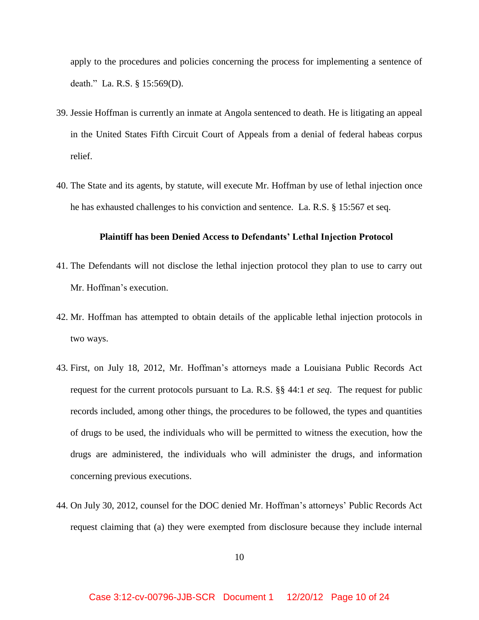apply to the procedures and policies concerning the process for implementing a sentence of death." La. R.S. § 15:569(D).

- 39. Jessie Hoffman is currently an inmate at Angola sentenced to death. He is litigating an appeal in the United States Fifth Circuit Court of Appeals from a denial of federal habeas corpus relief.
- 40. The State and its agents, by statute, will execute Mr. Hoffman by use of lethal injection once he has exhausted challenges to his conviction and sentence. La. R.S. § 15:567 et seq.

### **Plaintiff has been Denied Access to Defendants' Lethal Injection Protocol**

- 41. The Defendants will not disclose the lethal injection protocol they plan to use to carry out Mr. Hoffman's execution.
- 42. Mr. Hoffman has attempted to obtain details of the applicable lethal injection protocols in two ways.
- 43. First, on July 18, 2012, Mr. Hoffman's attorneys made a Louisiana Public Records Act request for the current protocols pursuant to La. R.S. §§ 44:1 *et seq*. The request for public records included, among other things, the procedures to be followed, the types and quantities of drugs to be used, the individuals who will be permitted to witness the execution, how the drugs are administered, the individuals who will administer the drugs, and information concerning previous executions.
- 44. On July 30, 2012, counsel for the DOC denied Mr. Hoffman's attorneys' Public Records Act request claiming that (a) they were exempted from disclosure because they include internal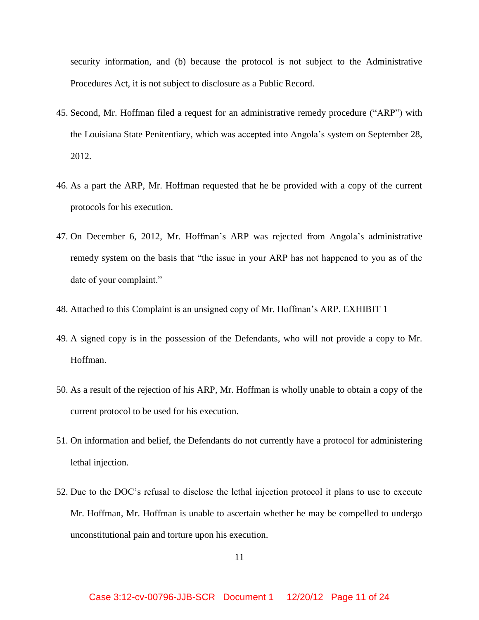security information, and (b) because the protocol is not subject to the Administrative Procedures Act, it is not subject to disclosure as a Public Record.

- 45. Second, Mr. Hoffman filed a request for an administrative remedy procedure ("ARP") with the Louisiana State Penitentiary, which was accepted into Angola's system on September 28, 2012.
- 46. As a part the ARP, Mr. Hoffman requested that he be provided with a copy of the current protocols for his execution.
- 47. On December 6, 2012, Mr. Hoffman's ARP was rejected from Angola's administrative remedy system on the basis that "the issue in your ARP has not happened to you as of the date of your complaint."
- 48. Attached to this Complaint is an unsigned copy of Mr. Hoffman's ARP. EXHIBIT 1
- 49. A signed copy is in the possession of the Defendants, who will not provide a copy to Mr. Hoffman.
- 50. As a result of the rejection of his ARP, Mr. Hoffman is wholly unable to obtain a copy of the current protocol to be used for his execution.
- 51. On information and belief, the Defendants do not currently have a protocol for administering lethal injection.
- 52. Due to the DOC's refusal to disclose the lethal injection protocol it plans to use to execute Mr. Hoffman, Mr. Hoffman is unable to ascertain whether he may be compelled to undergo unconstitutional pain and torture upon his execution.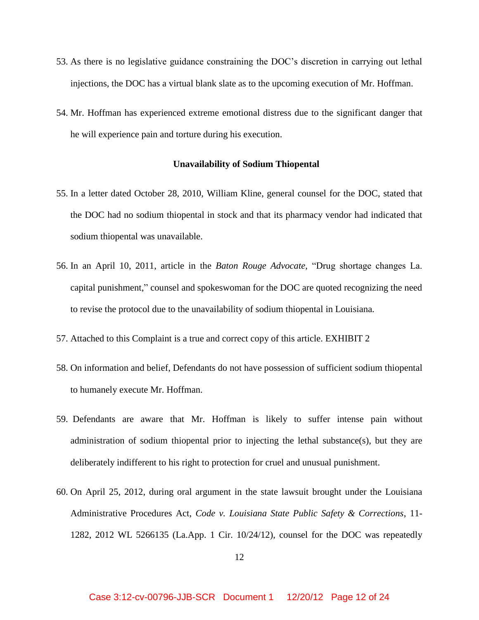- 53. As there is no legislative guidance constraining the DOC's discretion in carrying out lethal injections, the DOC has a virtual blank slate as to the upcoming execution of Mr. Hoffman.
- 54. Mr. Hoffman has experienced extreme emotional distress due to the significant danger that he will experience pain and torture during his execution.

#### **Unavailability of Sodium Thiopental**

- 55. In a letter dated October 28, 2010, William Kline, general counsel for the DOC, stated that the DOC had no sodium thiopental in stock and that its pharmacy vendor had indicated that sodium thiopental was unavailable.
- 56. In an April 10, 2011, article in the *Baton Rouge Advocate*, "Drug shortage changes La. capital punishment," counsel and spokeswoman for the DOC are quoted recognizing the need to revise the protocol due to the unavailability of sodium thiopental in Louisiana.
- 57. Attached to this Complaint is a true and correct copy of this article. EXHIBIT 2
- 58. On information and belief, Defendants do not have possession of sufficient sodium thiopental to humanely execute Mr. Hoffman.
- 59. Defendants are aware that Mr. Hoffman is likely to suffer intense pain without administration of sodium thiopental prior to injecting the lethal substance(s), but they are deliberately indifferent to his right to protection for cruel and unusual punishment.
- 60. On April 25, 2012, during oral argument in the state lawsuit brought under the Louisiana Administrative Procedures Act, *Code v. Louisiana State Public Safety & Corrections*, 11- 1282, 2012 WL 5266135 (La.App. 1 Cir. 10/24/12), counsel for the DOC was repeatedly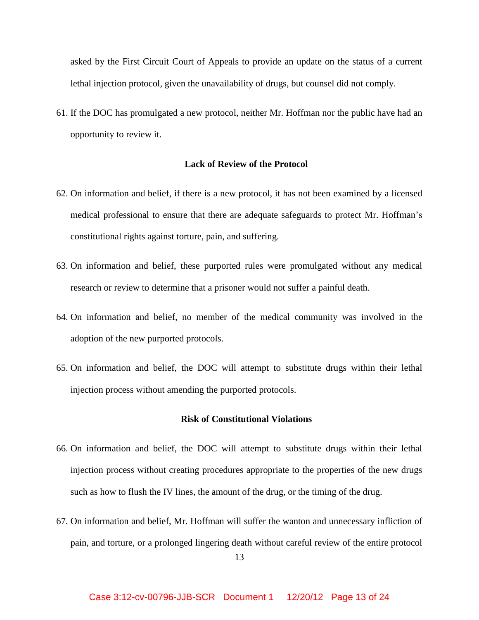asked by the First Circuit Court of Appeals to provide an update on the status of a current lethal injection protocol, given the unavailability of drugs, but counsel did not comply.

61. If the DOC has promulgated a new protocol, neither Mr. Hoffman nor the public have had an opportunity to review it.

## **Lack of Review of the Protocol**

- 62. On information and belief, if there is a new protocol, it has not been examined by a licensed medical professional to ensure that there are adequate safeguards to protect Mr. Hoffman's constitutional rights against torture, pain, and suffering.
- 63. On information and belief, these purported rules were promulgated without any medical research or review to determine that a prisoner would not suffer a painful death.
- 64. On information and belief, no member of the medical community was involved in the adoption of the new purported protocols.
- 65. On information and belief, the DOC will attempt to substitute drugs within their lethal injection process without amending the purported protocols.

### **Risk of Constitutional Violations**

- 66. On information and belief, the DOC will attempt to substitute drugs within their lethal injection process without creating procedures appropriate to the properties of the new drugs such as how to flush the IV lines, the amount of the drug, or the timing of the drug.
- 67. On information and belief, Mr. Hoffman will suffer the wanton and unnecessary infliction of pain, and torture, or a prolonged lingering death without careful review of the entire protocol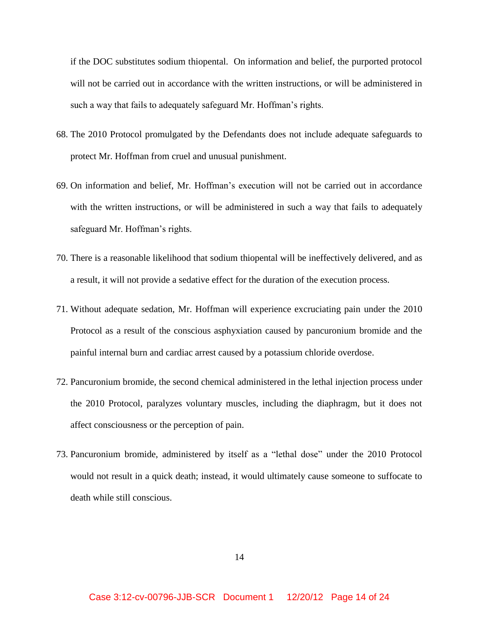if the DOC substitutes sodium thiopental. On information and belief, the purported protocol will not be carried out in accordance with the written instructions, or will be administered in such a way that fails to adequately safeguard Mr. Hoffman's rights.

- 68. The 2010 Protocol promulgated by the Defendants does not include adequate safeguards to protect Mr. Hoffman from cruel and unusual punishment.
- 69. On information and belief, Mr. Hoffman's execution will not be carried out in accordance with the written instructions, or will be administered in such a way that fails to adequately safeguard Mr. Hoffman's rights.
- 70. There is a reasonable likelihood that sodium thiopental will be ineffectively delivered, and as a result, it will not provide a sedative effect for the duration of the execution process.
- 71. Without adequate sedation, Mr. Hoffman will experience excruciating pain under the 2010 Protocol as a result of the conscious asphyxiation caused by pancuronium bromide and the painful internal burn and cardiac arrest caused by a potassium chloride overdose.
- 72. Pancuronium bromide, the second chemical administered in the lethal injection process under the 2010 Protocol, paralyzes voluntary muscles, including the diaphragm, but it does not affect consciousness or the perception of pain.
- 73. Pancuronium bromide, administered by itself as a "lethal dose" under the 2010 Protocol would not result in a quick death; instead, it would ultimately cause someone to suffocate to death while still conscious.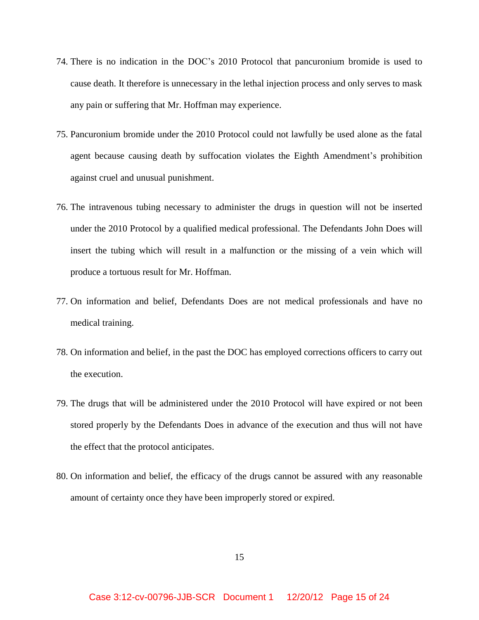- 74. There is no indication in the DOC's 2010 Protocol that pancuronium bromide is used to cause death. It therefore is unnecessary in the lethal injection process and only serves to mask any pain or suffering that Mr. Hoffman may experience.
- 75. Pancuronium bromide under the 2010 Protocol could not lawfully be used alone as the fatal agent because causing death by suffocation violates the Eighth Amendment's prohibition against cruel and unusual punishment.
- 76. The intravenous tubing necessary to administer the drugs in question will not be inserted under the 2010 Protocol by a qualified medical professional. The Defendants John Does will insert the tubing which will result in a malfunction or the missing of a vein which will produce a tortuous result for Mr. Hoffman.
- 77. On information and belief, Defendants Does are not medical professionals and have no medical training.
- 78. On information and belief, in the past the DOC has employed corrections officers to carry out the execution.
- 79. The drugs that will be administered under the 2010 Protocol will have expired or not been stored properly by the Defendants Does in advance of the execution and thus will not have the effect that the protocol anticipates.
- 80. On information and belief, the efficacy of the drugs cannot be assured with any reasonable amount of certainty once they have been improperly stored or expired.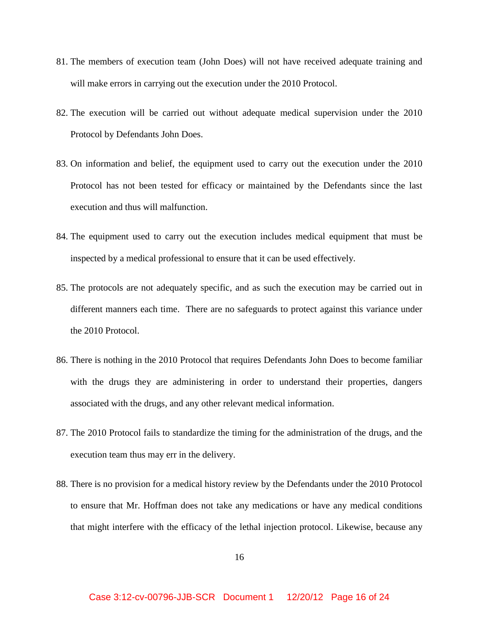- 81. The members of execution team (John Does) will not have received adequate training and will make errors in carrying out the execution under the 2010 Protocol.
- 82. The execution will be carried out without adequate medical supervision under the 2010 Protocol by Defendants John Does.
- 83. On information and belief, the equipment used to carry out the execution under the 2010 Protocol has not been tested for efficacy or maintained by the Defendants since the last execution and thus will malfunction.
- 84. The equipment used to carry out the execution includes medical equipment that must be inspected by a medical professional to ensure that it can be used effectively.
- 85. The protocols are not adequately specific, and as such the execution may be carried out in different manners each time. There are no safeguards to protect against this variance under the 2010 Protocol.
- 86. There is nothing in the 2010 Protocol that requires Defendants John Does to become familiar with the drugs they are administering in order to understand their properties, dangers associated with the drugs, and any other relevant medical information.
- 87. The 2010 Protocol fails to standardize the timing for the administration of the drugs, and the execution team thus may err in the delivery.
- 88. There is no provision for a medical history review by the Defendants under the 2010 Protocol to ensure that Mr. Hoffman does not take any medications or have any medical conditions that might interfere with the efficacy of the lethal injection protocol. Likewise, because any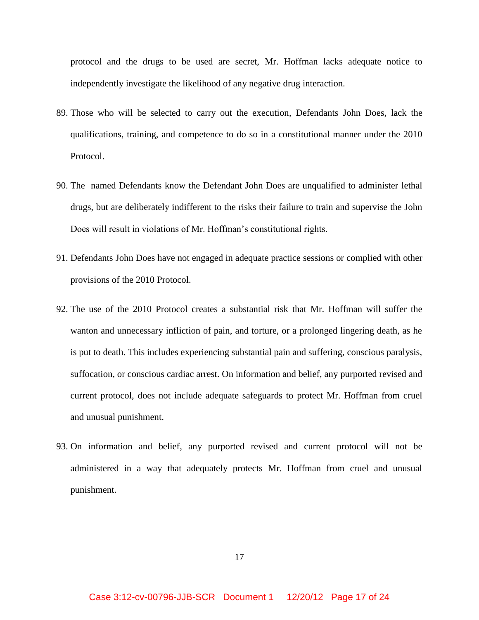protocol and the drugs to be used are secret, Mr. Hoffman lacks adequate notice to independently investigate the likelihood of any negative drug interaction.

- 89. Those who will be selected to carry out the execution, Defendants John Does, lack the qualifications, training, and competence to do so in a constitutional manner under the 2010 Protocol.
- 90. The named Defendants know the Defendant John Does are unqualified to administer lethal drugs, but are deliberately indifferent to the risks their failure to train and supervise the John Does will result in violations of Mr. Hoffman's constitutional rights.
- 91. Defendants John Does have not engaged in adequate practice sessions or complied with other provisions of the 2010 Protocol.
- 92. The use of the 2010 Protocol creates a substantial risk that Mr. Hoffman will suffer the wanton and unnecessary infliction of pain, and torture, or a prolonged lingering death, as he is put to death. This includes experiencing substantial pain and suffering, conscious paralysis, suffocation, or conscious cardiac arrest. On information and belief, any purported revised and current protocol, does not include adequate safeguards to protect Mr. Hoffman from cruel and unusual punishment.
- 93. On information and belief, any purported revised and current protocol will not be administered in a way that adequately protects Mr. Hoffman from cruel and unusual punishment.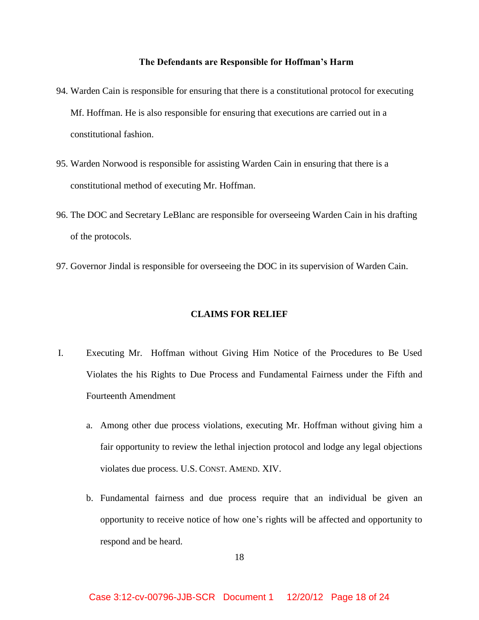## **The Defendants are Responsible for Hoffman's Harm**

- 94. Warden Cain is responsible for ensuring that there is a constitutional protocol for executing Mf. Hoffman. He is also responsible for ensuring that executions are carried out in a constitutional fashion.
- 95. Warden Norwood is responsible for assisting Warden Cain in ensuring that there is a constitutional method of executing Mr. Hoffman.
- 96. The DOC and Secretary LeBlanc are responsible for overseeing Warden Cain in his drafting of the protocols.
- 97. Governor Jindal is responsible for overseeing the DOC in its supervision of Warden Cain.

## **CLAIMS FOR RELIEF**

- I. Executing Mr. Hoffman without Giving Him Notice of the Procedures to Be Used Violates the his Rights to Due Process and Fundamental Fairness under the Fifth and Fourteenth Amendment
	- a. Among other due process violations, executing Mr. Hoffman without giving him a fair opportunity to review the lethal injection protocol and lodge any legal objections violates due process. U.S. CONST. AMEND. XIV.
	- b. Fundamental fairness and due process require that an individual be given an opportunity to receive notice of how one's rights will be affected and opportunity to respond and be heard.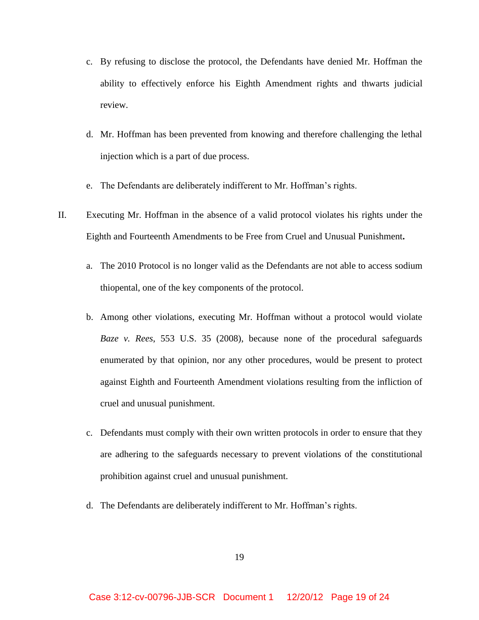- c. By refusing to disclose the protocol, the Defendants have denied Mr. Hoffman the ability to effectively enforce his Eighth Amendment rights and thwarts judicial review.
- d. Mr. Hoffman has been prevented from knowing and therefore challenging the lethal injection which is a part of due process.
- e. The Defendants are deliberately indifferent to Mr. Hoffman's rights.
- II. Executing Mr. Hoffman in the absence of a valid protocol violates his rights under the Eighth and Fourteenth Amendments to be Free from Cruel and Unusual Punishment**.** 
	- a. The 2010 Protocol is no longer valid as the Defendants are not able to access sodium thiopental, one of the key components of the protocol.
	- b. Among other violations, executing Mr. Hoffman without a protocol would violate *Baze v. Rees*, 553 U.S. 35 (2008), because none of the procedural safeguards enumerated by that opinion, nor any other procedures, would be present to protect against Eighth and Fourteenth Amendment violations resulting from the infliction of cruel and unusual punishment.
	- c. Defendants must comply with their own written protocols in order to ensure that they are adhering to the safeguards necessary to prevent violations of the constitutional prohibition against cruel and unusual punishment.
	- d. The Defendants are deliberately indifferent to Mr. Hoffman's rights.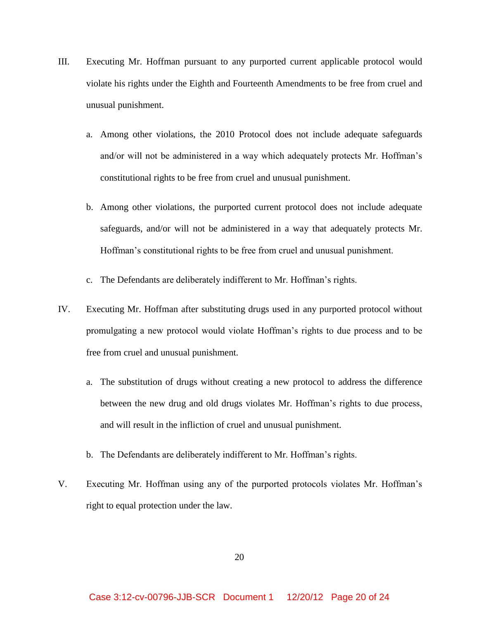- III. Executing Mr. Hoffman pursuant to any purported current applicable protocol would violate his rights under the Eighth and Fourteenth Amendments to be free from cruel and unusual punishment.
	- a. Among other violations, the 2010 Protocol does not include adequate safeguards and/or will not be administered in a way which adequately protects Mr. Hoffman's constitutional rights to be free from cruel and unusual punishment.
	- b. Among other violations, the purported current protocol does not include adequate safeguards, and/or will not be administered in a way that adequately protects Mr. Hoffman's constitutional rights to be free from cruel and unusual punishment.
	- c. The Defendants are deliberately indifferent to Mr. Hoffman's rights.
- IV. Executing Mr. Hoffman after substituting drugs used in any purported protocol without promulgating a new protocol would violate Hoffman's rights to due process and to be free from cruel and unusual punishment.
	- a. The substitution of drugs without creating a new protocol to address the difference between the new drug and old drugs violates Mr. Hoffman's rights to due process, and will result in the infliction of cruel and unusual punishment.
	- b. The Defendants are deliberately indifferent to Mr. Hoffman's rights.
- V. Executing Mr. Hoffman using any of the purported protocols violates Mr. Hoffman's right to equal protection under the law.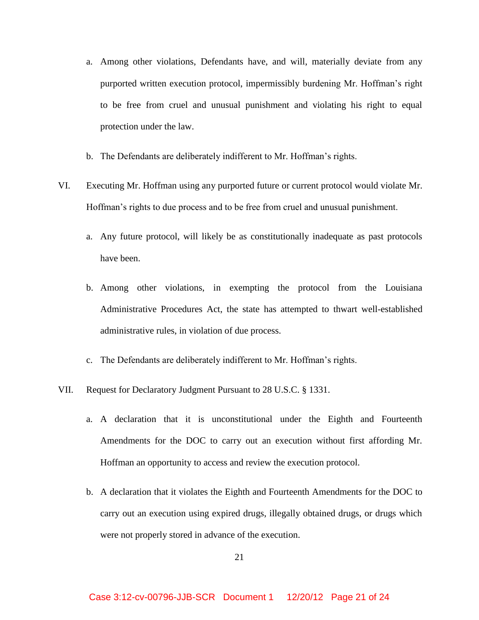- a. Among other violations, Defendants have, and will, materially deviate from any purported written execution protocol, impermissibly burdening Mr. Hoffman's right to be free from cruel and unusual punishment and violating his right to equal protection under the law.
- b. The Defendants are deliberately indifferent to Mr. Hoffman's rights.
- VI. Executing Mr. Hoffman using any purported future or current protocol would violate Mr. Hoffman's rights to due process and to be free from cruel and unusual punishment.
	- a. Any future protocol, will likely be as constitutionally inadequate as past protocols have been.
	- b. Among other violations, in exempting the protocol from the Louisiana Administrative Procedures Act, the state has attempted to thwart well-established administrative rules, in violation of due process.
	- c. The Defendants are deliberately indifferent to Mr. Hoffman's rights.
- VII. Request for Declaratory Judgment Pursuant to 28 U.S.C. § 1331.
	- a. A declaration that it is unconstitutional under the Eighth and Fourteenth Amendments for the DOC to carry out an execution without first affording Mr. Hoffman an opportunity to access and review the execution protocol.
	- b. A declaration that it violates the Eighth and Fourteenth Amendments for the DOC to carry out an execution using expired drugs, illegally obtained drugs, or drugs which were not properly stored in advance of the execution.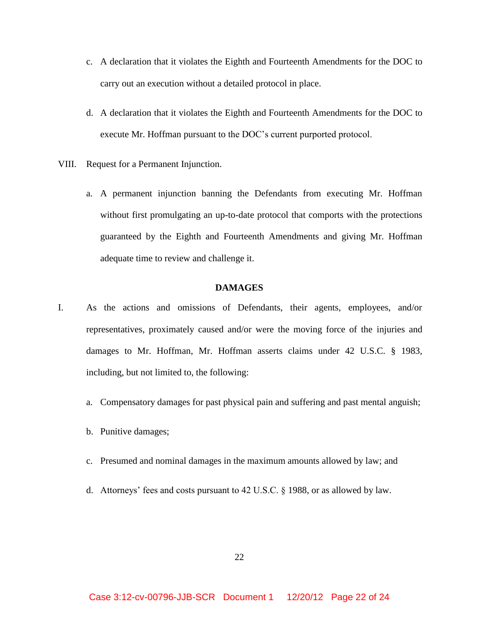- c. A declaration that it violates the Eighth and Fourteenth Amendments for the DOC to carry out an execution without a detailed protocol in place.
- d. A declaration that it violates the Eighth and Fourteenth Amendments for the DOC to execute Mr. Hoffman pursuant to the DOC's current purported protocol.
- VIII. Request for a Permanent Injunction.
	- a. A permanent injunction banning the Defendants from executing Mr. Hoffman without first promulgating an up-to-date protocol that comports with the protections guaranteed by the Eighth and Fourteenth Amendments and giving Mr. Hoffman adequate time to review and challenge it.

#### **DAMAGES**

- I. As the actions and omissions of Defendants, their agents, employees, and/or representatives, proximately caused and/or were the moving force of the injuries and damages to Mr. Hoffman, Mr. Hoffman asserts claims under 42 U.S.C. § 1983, including, but not limited to, the following:
	- a. Compensatory damages for past physical pain and suffering and past mental anguish;
	- b. Punitive damages;
	- c. Presumed and nominal damages in the maximum amounts allowed by law; and
	- d. Attorneys' fees and costs pursuant to 42 U.S.C. § 1988, or as allowed by law.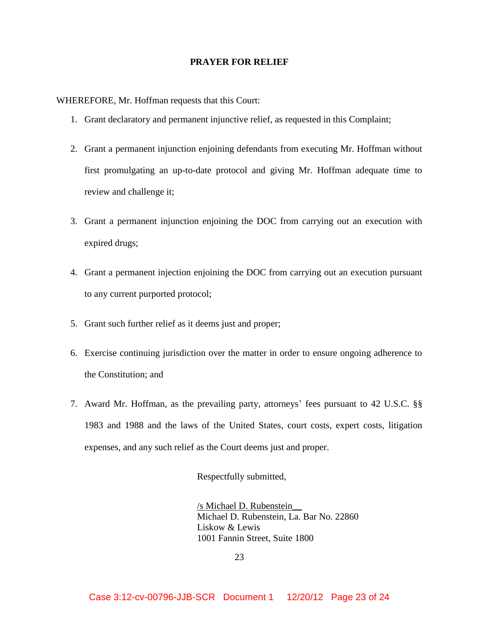### **PRAYER FOR RELIEF**

WHEREFORE, Mr. Hoffman requests that this Court:

- 1. Grant declaratory and permanent injunctive relief, as requested in this Complaint;
- 2. Grant a permanent injunction enjoining defendants from executing Mr. Hoffman without first promulgating an up-to-date protocol and giving Mr. Hoffman adequate time to review and challenge it;
- 3. Grant a permanent injunction enjoining the DOC from carrying out an execution with expired drugs;
- 4. Grant a permanent injection enjoining the DOC from carrying out an execution pursuant to any current purported protocol;
- 5. Grant such further relief as it deems just and proper;
- 6. Exercise continuing jurisdiction over the matter in order to ensure ongoing adherence to the Constitution; and
- 7. Award Mr. Hoffman, as the prevailing party, attorneys' fees pursuant to 42 U.S.C. §§ 1983 and 1988 and the laws of the United States, court costs, expert costs, litigation expenses, and any such relief as the Court deems just and proper.

Respectfully submitted,

/s Michael D. Rubenstein\_\_ Michael D. Rubenstein, La. Bar No. 22860 Liskow & Lewis 1001 Fannin Street, Suite 1800